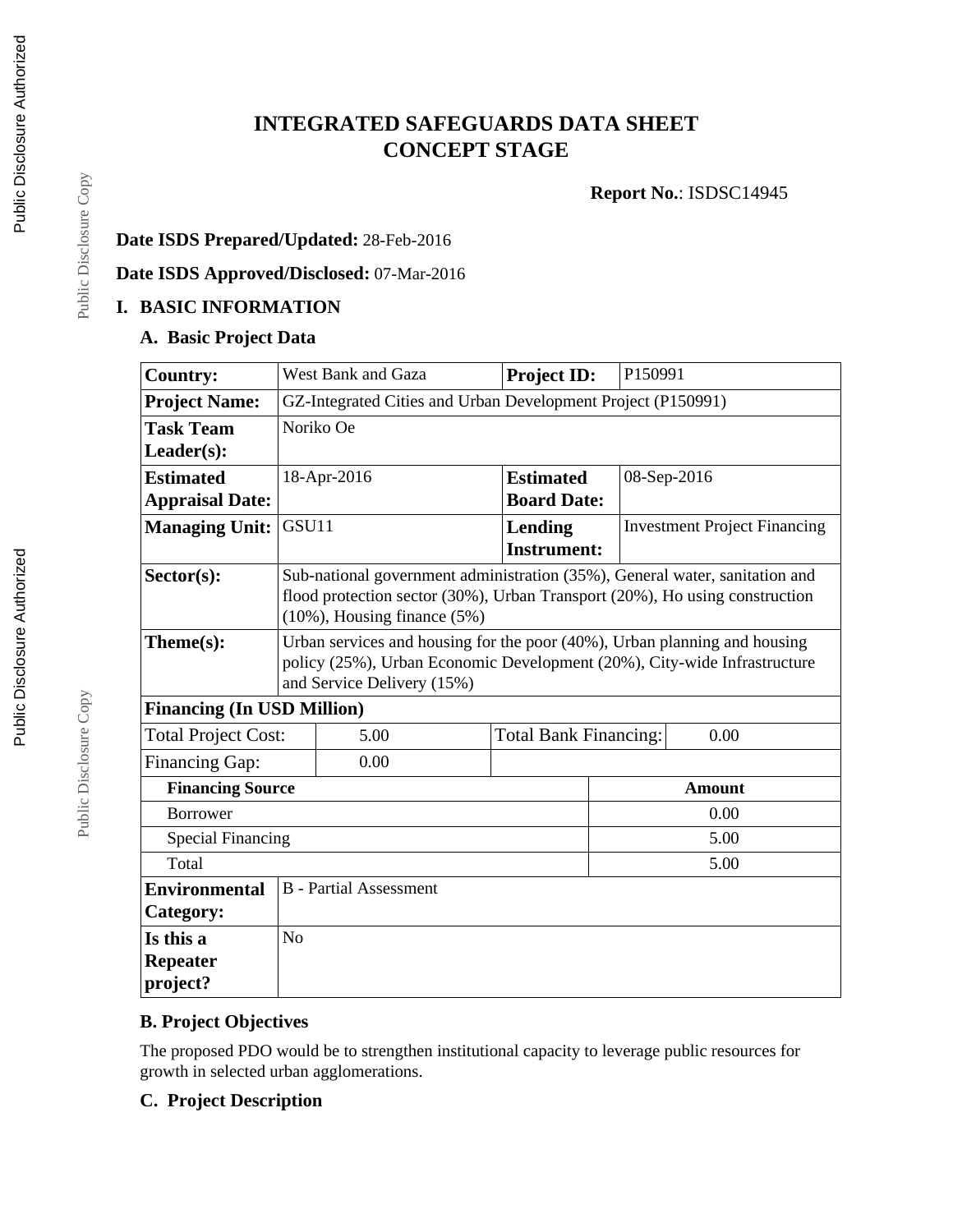# **INTEGRATED SAFEGUARDS DATA SHEET CONCEPT STAGE**

**Report No.**: ISDSC14945

# **Date ISDS Prepared/Updated:** 28-Feb-2016

#### **Date ISDS Approved/Disclosed:** 07-Mar-2016

### **I. BASIC INFORMATION**

# **A. Basic Project Data**

| <b>Country:</b>                          | West Bank and Gaza                                                                                                                                                                  |                                                                                                                                                                                                          | <b>Project ID:</b>                   | P150991                             |  |  |
|------------------------------------------|-------------------------------------------------------------------------------------------------------------------------------------------------------------------------------------|----------------------------------------------------------------------------------------------------------------------------------------------------------------------------------------------------------|--------------------------------------|-------------------------------------|--|--|
| <b>Project Name:</b>                     | GZ-Integrated Cities and Urban Development Project (P150991)                                                                                                                        |                                                                                                                                                                                                          |                                      |                                     |  |  |
| <b>Task Team</b>                         | Noriko Oe                                                                                                                                                                           |                                                                                                                                                                                                          |                                      |                                     |  |  |
| $Leader(s)$ :                            |                                                                                                                                                                                     |                                                                                                                                                                                                          |                                      |                                     |  |  |
| <b>Estimated</b>                         | 18-Apr-2016                                                                                                                                                                         |                                                                                                                                                                                                          | <b>Estimated</b>                     | 08-Sep-2016                         |  |  |
| <b>Appraisal Date:</b>                   |                                                                                                                                                                                     |                                                                                                                                                                                                          | <b>Board Date:</b>                   |                                     |  |  |
| <b>Managing Unit:</b>                    | GSU11                                                                                                                                                                               |                                                                                                                                                                                                          | <b>Lending</b><br><b>Instrument:</b> | <b>Investment Project Financing</b> |  |  |
| $Sector(s)$ :                            |                                                                                                                                                                                     | Sub-national government administration (35%), General water, sanitation and<br>flood protection sector $(30\%)$ , Urban Transport $(20\%)$ , Ho using construction<br>$(10\%)$ , Housing finance $(5\%)$ |                                      |                                     |  |  |
| Theme(s):                                | Urban services and housing for the poor (40%), Urban planning and housing<br>policy (25%), Urban Economic Development (20%), City-wide Infrastructure<br>and Service Delivery (15%) |                                                                                                                                                                                                          |                                      |                                     |  |  |
| <b>Financing (In USD Million)</b>        |                                                                                                                                                                                     |                                                                                                                                                                                                          |                                      |                                     |  |  |
| <b>Total Project Cost:</b>               |                                                                                                                                                                                     | 5.00                                                                                                                                                                                                     | 0.00<br><b>Total Bank Financing:</b> |                                     |  |  |
| <b>Financing Gap:</b>                    |                                                                                                                                                                                     | 0.00                                                                                                                                                                                                     |                                      |                                     |  |  |
| <b>Financing Source</b><br><b>Amount</b> |                                                                                                                                                                                     |                                                                                                                                                                                                          |                                      |                                     |  |  |
| <b>Borrower</b>                          |                                                                                                                                                                                     |                                                                                                                                                                                                          |                                      | 0.00                                |  |  |
| <b>Special Financing</b>                 |                                                                                                                                                                                     |                                                                                                                                                                                                          |                                      | 5.00                                |  |  |
| Total                                    |                                                                                                                                                                                     |                                                                                                                                                                                                          |                                      | 5.00                                |  |  |
| <b>Environmental</b>                     |                                                                                                                                                                                     | <b>B</b> - Partial Assessment                                                                                                                                                                            |                                      |                                     |  |  |
| Category:                                |                                                                                                                                                                                     |                                                                                                                                                                                                          |                                      |                                     |  |  |
| Is this a                                | N <sub>o</sub>                                                                                                                                                                      |                                                                                                                                                                                                          |                                      |                                     |  |  |
| <b>Repeater</b><br>project?              |                                                                                                                                                                                     |                                                                                                                                                                                                          |                                      |                                     |  |  |

# **B. Project Objectives**

The proposed PDO would be to strengthen institutional capacity to leverage public resources for growth in selected urban agglomerations.

### **C. Project Description**

Public Disclosure Copy

Public Disclosure Copy

Public Disclosure Copy

Public Disclosure Copy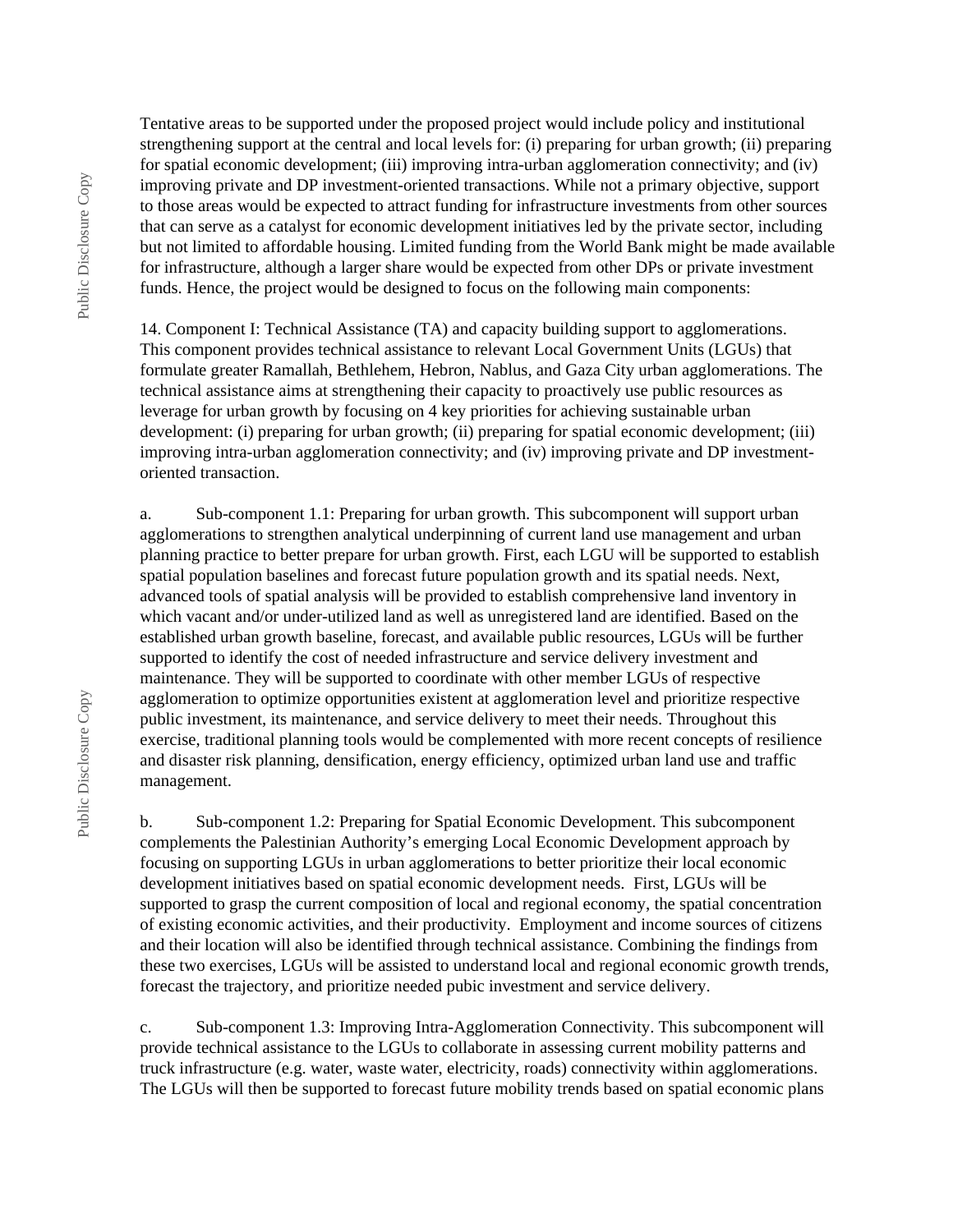Tentative areas to be supported under the proposed project would include policy and institutional strengthening support at the central and local levels for: (i) preparing for urban growth; (ii) preparing for spatial economic development; (iii) improving intra-urban agglomeration connectivity; and (iv) improving private and DP investment-oriented transactions. While not a primary objective, support to those areas would be expected to attract funding for infrastructure investments from other sources that can serve as a catalyst for economic development initiatives led by the private sector, including but not limited to affordable housing. Limited funding from the World Bank might be made available for infrastructure, although a larger share would be expected from other DPs or private investment funds. Hence, the project would be designed to focus on the following main components:

14. Component I: Technical Assistance (TA) and capacity building support to agglomerations. This component provides technical assistance to relevant Local Government Units (LGUs) that formulate greater Ramallah, Bethlehem, Hebron, Nablus, and Gaza City urban agglomerations. The technical assistance aims at strengthening their capacity to proactively use public resources as leverage for urban growth by focusing on 4 key priorities for achieving sustainable urban development: (i) preparing for urban growth; (ii) preparing for spatial economic development; (iii) improving intra-urban agglomeration connectivity; and (iv) improving private and DP investmentoriented transaction.

a. Sub-component 1.1: Preparing for urban growth. This subcomponent will support urban agglomerations to strengthen analytical underpinning of current land use management and urban planning practice to better prepare for urban growth. First, each LGU will be supported to establish spatial population baselines and forecast future population growth and its spatial needs. Next, advanced tools of spatial analysis will be provided to establish comprehensive land inventory in which vacant and/or under-utilized land as well as unregistered land are identified. Based on the established urban growth baseline, forecast, and available public resources, LGUs will be further supported to identify the cost of needed infrastructure and service delivery investment and maintenance. They will be supported to coordinate with other member LGUs of respective agglomeration to optimize opportunities existent at agglomeration level and prioritize respective public investment, its maintenance, and service delivery to meet their needs. Throughout this exercise, traditional planning tools would be complemented with more recent concepts of resilience and disaster risk planning, densification, energy efficiency, optimized urban land use and traffic management.

b. Sub-component 1.2: Preparing for Spatial Economic Development. This subcomponent complements the Palestinian Authority's emerging Local Economic Development approach by focusing on supporting LGUs in urban agglomerations to better prioritize their local economic development initiatives based on spatial economic development needs. First, LGUs will be supported to grasp the current composition of local and regional economy, the spatial concentration of existing economic activities, and their productivity. Employment and income sources of citizens and their location will also be identified through technical assistance. Combining the findings from these two exercises, LGUs will be assisted to understand local and regional economic growth trends, forecast the trajectory, and prioritize needed pubic investment and service delivery.

c. Sub-component 1.3: Improving Intra-Agglomeration Connectivity. This subcomponent will provide technical assistance to the LGUs to collaborate in assessing current mobility patterns and truck infrastructure (e.g. water, waste water, electricity, roads) connectivity within agglomerations. The LGUs will then be supported to forecast future mobility trends based on spatial economic plans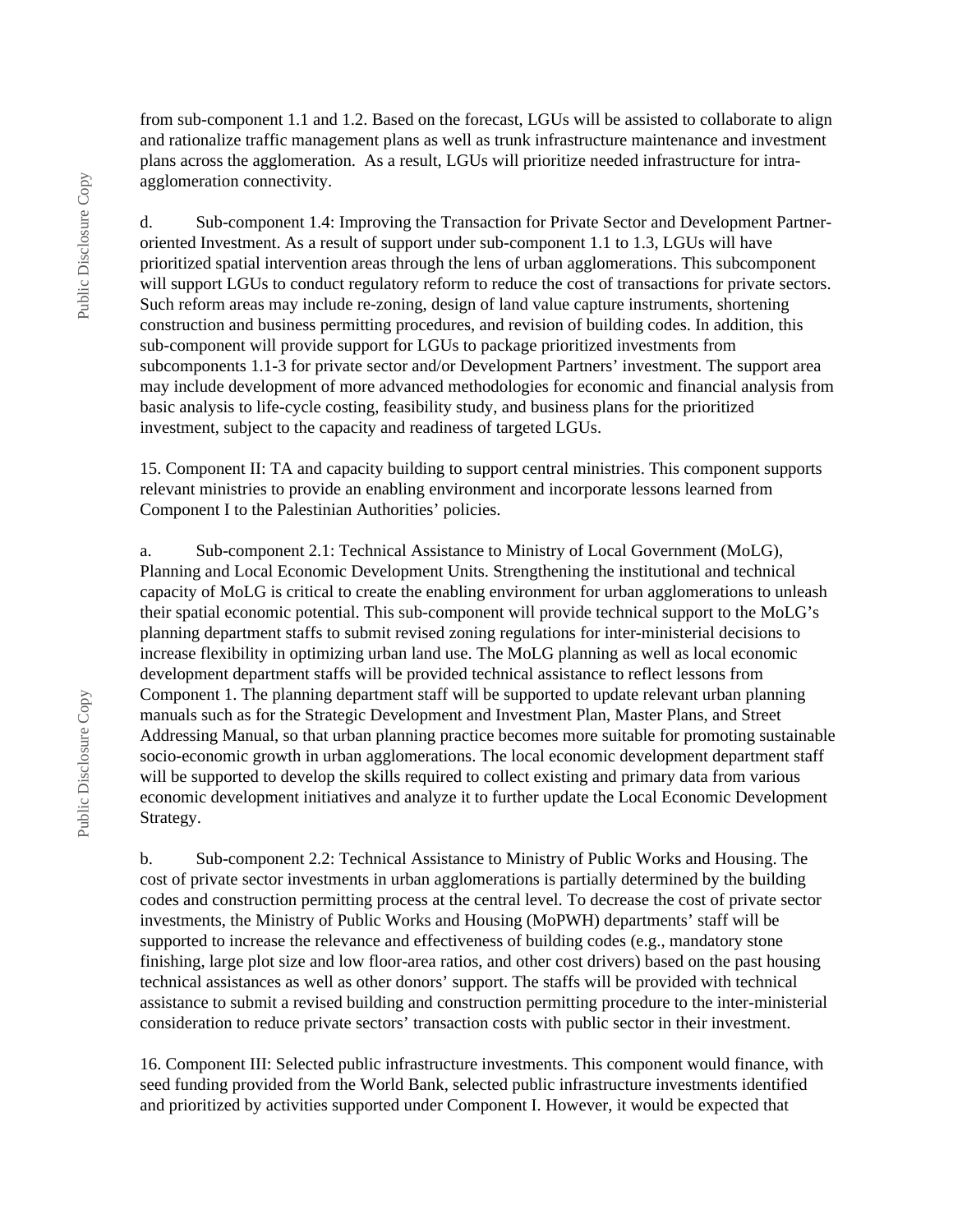from sub-component 1.1 and 1.2. Based on the forecast, LGUs will be assisted to collaborate to align and rationalize traffic management plans as well as trunk infrastructure maintenance and investment plans across the agglomeration. As a result, LGUs will prioritize needed infrastructure for intraagglomeration connectivity.

d. Sub-component 1.4: Improving the Transaction for Private Sector and Development Partneroriented Investment. As a result of support under sub-component 1.1 to 1.3, LGUs will have prioritized spatial intervention areas through the lens of urban agglomerations. This subcomponent will support LGUs to conduct regulatory reform to reduce the cost of transactions for private sectors. Such reform areas may include re-zoning, design of land value capture instruments, shortening construction and business permitting procedures, and revision of building codes. In addition, this sub-component will provide support for LGUs to package prioritized investments from subcomponents 1.1-3 for private sector and/or Development Partners' investment. The support area may include development of more advanced methodologies for economic and financial analysis from basic analysis to life-cycle costing, feasibility study, and business plans for the prioritized investment, subject to the capacity and readiness of targeted LGUs.

15. Component II: TA and capacity building to support central ministries. This component supports relevant ministries to provide an enabling environment and incorporate lessons learned from Component I to the Palestinian Authorities' policies.

a. Sub-component 2.1: Technical Assistance to Ministry of Local Government (MoLG), Planning and Local Economic Development Units. Strengthening the institutional and technical capacity of MoLG is critical to create the enabling environment for urban agglomerations to unleash their spatial economic potential. This sub-component will provide technical support to the MoLG's planning department staffs to submit revised zoning regulations for inter-ministerial decisions to increase flexibility in optimizing urban land use. The MoLG planning as well as local economic development department staffs will be provided technical assistance to reflect lessons from Component 1. The planning department staff will be supported to update relevant urban planning manuals such as for the Strategic Development and Investment Plan, Master Plans, and Street Addressing Manual, so that urban planning practice becomes more suitable for promoting sustainable socio-economic growth in urban agglomerations. The local economic development department staff will be supported to develop the skills required to collect existing and primary data from various economic development initiatives and analyze it to further update the Local Economic Development Strategy.

b. Sub-component 2.2: Technical Assistance to Ministry of Public Works and Housing. The cost of private sector investments in urban agglomerations is partially determined by the building codes and construction permitting process at the central level. To decrease the cost of private sector investments, the Ministry of Public Works and Housing (MoPWH) departments' staff will be supported to increase the relevance and effectiveness of building codes (e.g., mandatory stone finishing, large plot size and low floor-area ratios, and other cost drivers) based on the past housing technical assistances as well as other donors' support. The staffs will be provided with technical assistance to submit a revised building and construction permitting procedure to the inter-ministerial consideration to reduce private sectors' transaction costs with public sector in their investment.

16. Component III: Selected public infrastructure investments. This component would finance, with seed funding provided from the World Bank, selected public infrastructure investments identified and prioritized by activities supported under Component I. However, it would be expected that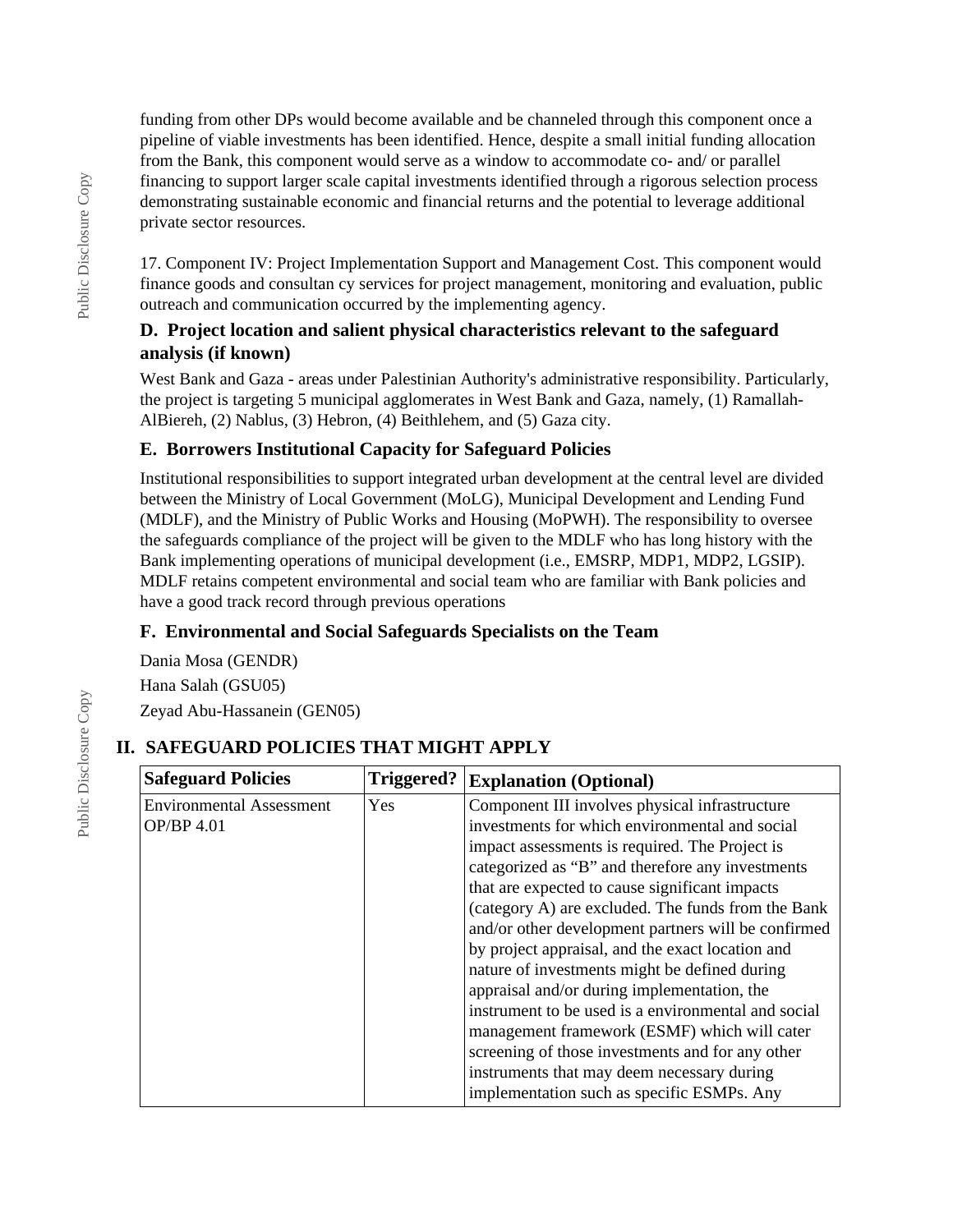funding from other DPs would become available and be channeled through this component once a pipeline of viable investments has been identified. Hence, despite a small initial funding allocation from the Bank, this component would serve as a window to accommodate co- and/ or parallel financing to support larger scale capital investments identified through a rigorous selection process demonstrating sustainable economic and financial returns and the potential to leverage additional private sector resources.

17. Component IV: Project Implementation Support and Management Cost. This component would finance goods and consultan cy services for project management, monitoring and evaluation, public outreach and communication occurred by the implementing agency.

#### **D. Project location and salient physical characteristics relevant to the safeguard analysis (if known)**

West Bank and Gaza - areas under Palestinian Authority's administrative responsibility. Particularly, the project is targeting 5 municipal agglomerates in West Bank and Gaza, namely, (1) Ramallah-AlBiereh, (2) Nablus, (3) Hebron, (4) Beithlehem, and (5) Gaza city.

# **E. Borrowers Institutional Capacity for Safeguard Policies**

Institutional responsibilities to support integrated urban development at the central level are divided between the Ministry of Local Government (MoLG), Municipal Development and Lending Fund (MDLF), and the Ministry of Public Works and Housing (MoPWH). The responsibility to oversee the safeguards compliance of the project will be given to the MDLF who has long history with the Bank implementing operations of municipal development (i.e., EMSRP, MDP1, MDP2, LGSIP). MDLF retains competent environmental and social team who are familiar with Bank policies and have a good track record through previous operations

# **F. Environmental and Social Safeguards Specialists on the Team**

Dania Mosa (GENDR)

Hana Salah (GSU05) Zeyad Abu-Hassanein (GEN05)

# **II. SAFEGUARD POLICIES THAT MIGHT APPLY**

| <b>Safeguard Policies</b>       | Triggered? | <b>Explanation (Optional)</b>                       |  |
|---------------------------------|------------|-----------------------------------------------------|--|
| <b>Environmental Assessment</b> | Yes        | Component III involves physical infrastructure      |  |
| <b>OP/BP 4.01</b>               |            | investments for which environmental and social      |  |
|                                 |            | impact assessments is required. The Project is      |  |
|                                 |            | categorized as "B" and therefore any investments    |  |
|                                 |            | that are expected to cause significant impacts      |  |
|                                 |            | (category A) are excluded. The funds from the Bank  |  |
|                                 |            | and/or other development partners will be confirmed |  |
|                                 |            | by project appraisal, and the exact location and    |  |
|                                 |            | nature of investments might be defined during       |  |
|                                 |            | appraisal and/or during implementation, the         |  |
|                                 |            | instrument to be used is a environmental and social |  |
|                                 |            | management framework (ESMF) which will cater        |  |
|                                 |            | screening of those investments and for any other    |  |
|                                 |            | instruments that may deem necessary during          |  |
|                                 |            | implementation such as specific ESMPs. Any          |  |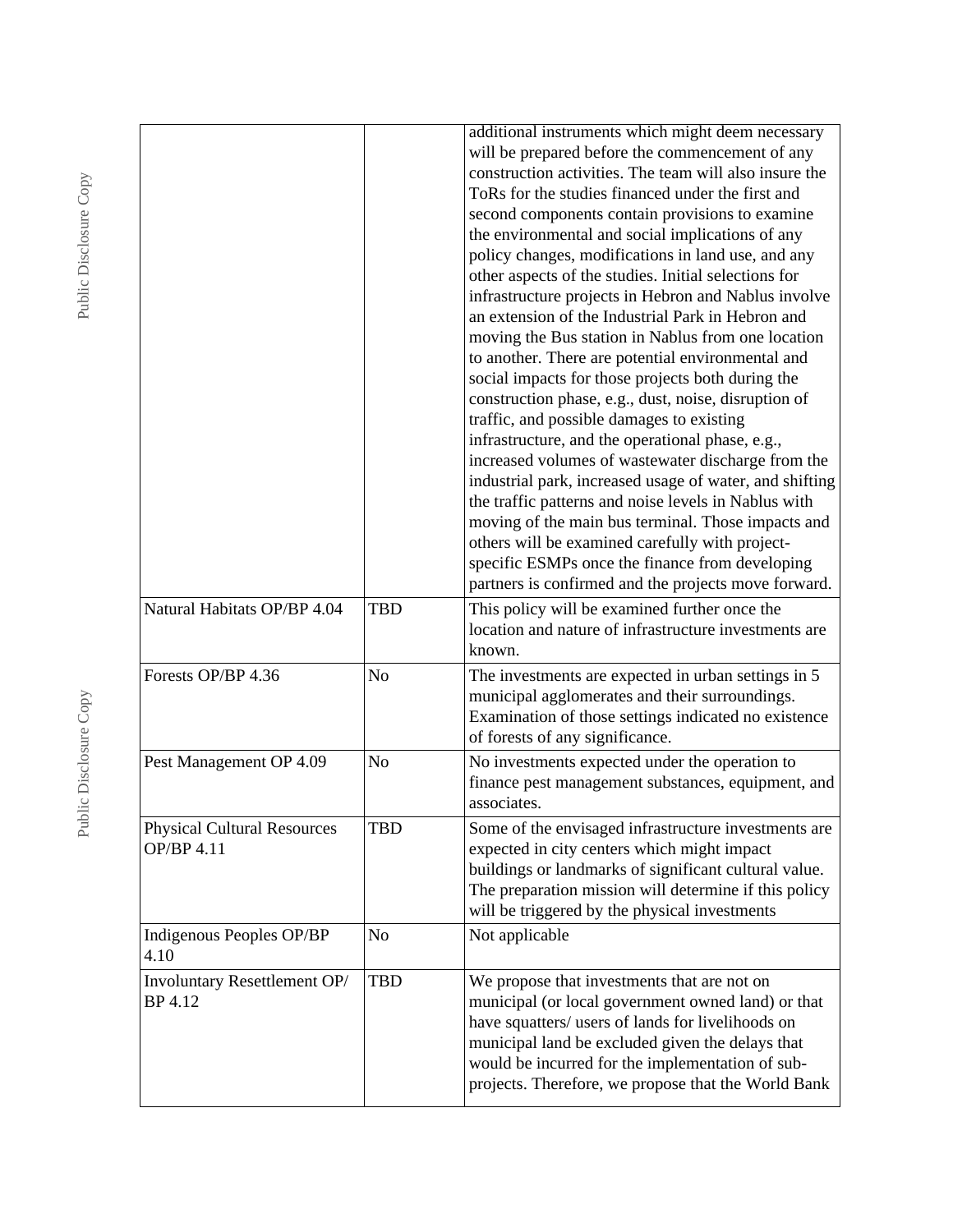| Natural Habitats OP/BP 4.04                      | <b>TBD</b>     | additional instruments which might deem necessary<br>will be prepared before the commencement of any<br>construction activities. The team will also insure the<br>ToRs for the studies financed under the first and<br>second components contain provisions to examine<br>the environmental and social implications of any<br>policy changes, modifications in land use, and any<br>other aspects of the studies. Initial selections for<br>infrastructure projects in Hebron and Nablus involve<br>an extension of the Industrial Park in Hebron and<br>moving the Bus station in Nablus from one location<br>to another. There are potential environmental and<br>social impacts for those projects both during the<br>construction phase, e.g., dust, noise, disruption of<br>traffic, and possible damages to existing<br>infrastructure, and the operational phase, e.g.,<br>increased volumes of wastewater discharge from the<br>industrial park, increased usage of water, and shifting<br>the traffic patterns and noise levels in Nablus with<br>moving of the main bus terminal. Those impacts and<br>others will be examined carefully with project-<br>specific ESMPs once the finance from developing<br>partners is confirmed and the projects move forward.<br>This policy will be examined further once the |
|--------------------------------------------------|----------------|------------------------------------------------------------------------------------------------------------------------------------------------------------------------------------------------------------------------------------------------------------------------------------------------------------------------------------------------------------------------------------------------------------------------------------------------------------------------------------------------------------------------------------------------------------------------------------------------------------------------------------------------------------------------------------------------------------------------------------------------------------------------------------------------------------------------------------------------------------------------------------------------------------------------------------------------------------------------------------------------------------------------------------------------------------------------------------------------------------------------------------------------------------------------------------------------------------------------------------------------------------------------------------------------------------------------------|
| Forests OP/BP 4.36                               | N <sub>o</sub> | location and nature of infrastructure investments are<br>known.<br>The investments are expected in urban settings in 5                                                                                                                                                                                                                                                                                                                                                                                                                                                                                                                                                                                                                                                                                                                                                                                                                                                                                                                                                                                                                                                                                                                                                                                                       |
|                                                  |                | municipal agglomerates and their surroundings.<br>Examination of those settings indicated no existence<br>of forests of any significance.                                                                                                                                                                                                                                                                                                                                                                                                                                                                                                                                                                                                                                                                                                                                                                                                                                                                                                                                                                                                                                                                                                                                                                                    |
| Pest Management OP 4.09                          | N <sub>o</sub> | No investments expected under the operation to<br>finance pest management substances, equipment, and<br>associates.                                                                                                                                                                                                                                                                                                                                                                                                                                                                                                                                                                                                                                                                                                                                                                                                                                                                                                                                                                                                                                                                                                                                                                                                          |
| <b>Physical Cultural Resources</b><br>OP/BP 4.11 | <b>TBD</b>     | Some of the envisaged infrastructure investments are<br>expected in city centers which might impact<br>buildings or landmarks of significant cultural value.<br>The preparation mission will determine if this policy<br>will be triggered by the physical investments                                                                                                                                                                                                                                                                                                                                                                                                                                                                                                                                                                                                                                                                                                                                                                                                                                                                                                                                                                                                                                                       |
| Indigenous Peoples OP/BP<br>4.10                 | N <sub>0</sub> | Not applicable                                                                                                                                                                                                                                                                                                                                                                                                                                                                                                                                                                                                                                                                                                                                                                                                                                                                                                                                                                                                                                                                                                                                                                                                                                                                                                               |
| Involuntary Resettlement OP/<br>BP 4.12          | <b>TBD</b>     | We propose that investments that are not on<br>municipal (or local government owned land) or that<br>have squatters/ users of lands for livelihoods on<br>municipal land be excluded given the delays that<br>would be incurred for the implementation of sub-<br>projects. Therefore, we propose that the World Bank                                                                                                                                                                                                                                                                                                                                                                                                                                                                                                                                                                                                                                                                                                                                                                                                                                                                                                                                                                                                        |